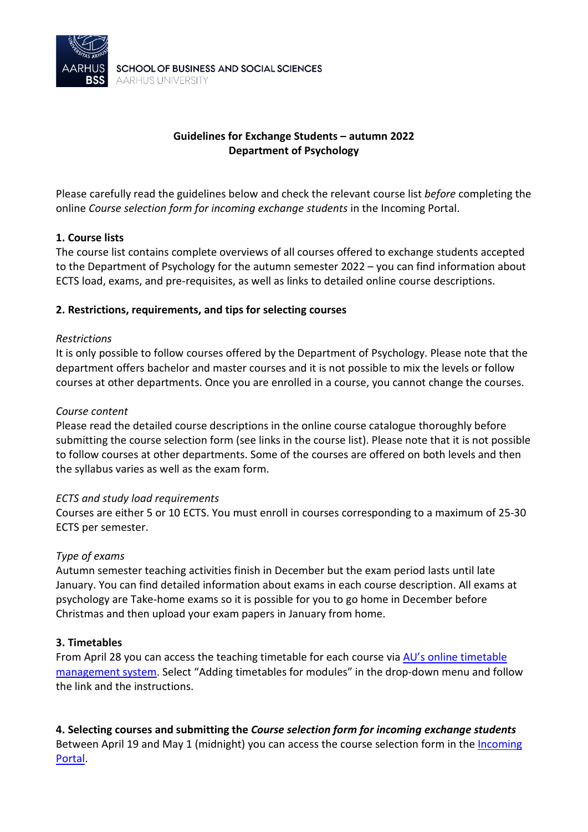

# **Guidelines for Exchange Students – autumn 2022 Department of Psychology**

Please carefully read the guidelines below and check the relevant course list *before* completing the online *Course selection form for incoming exchange students* in the Incoming Portal.

### **1. Course lists**

The course list contains complete overviews of all courses offered to exchange students accepted to the Department of Psychology for the autumn semester 2022 – you can find information about ECTS load, exams, and pre-requisites, as well as links to detailed online course descriptions.

### **2. Restrictions, requirements, and tips for selecting courses**

### *Restrictions*

It is only possible to follow courses offered by the Department of Psychology. Please note that the department offers bachelor and master courses and it is not possible to mix the levels or follow courses at other departments. Once you are enrolled in a course, you cannot change the courses.

#### *Course content*

Please read the detailed course descriptions in the online course catalogue thoroughly before submitting the course selection form (see links in the course list). Please note that it is not possible to follow courses at other departments. Some of the courses are offered on both levels and then the syllabus varies as well as the exam form.

### *ECTS and study load requirements*

Courses are either 5 or 10 ECTS. You must enroll in courses corresponding to a maximum of 25-30 ECTS per semester.

### *Type of exams*

Autumn semester teaching activities finish in December but the exam period lasts until late January. You can find detailed information about exams in each course description. All exams at psychology are Take-home exams so it is possible for you to go home in December before Christmas and then upload your exam papers in January from home.

### **3. Timetables**

From April 28 you can access the teaching timetable for each course via [AU's online timetable](https://studerende.au.dk/en/it-support/timeplanner-timetableaudk/)  [management system.](https://studerende.au.dk/en/it-support/timeplanner-timetableaudk/) Select "Adding timetables for modules" in the drop-down menu and follow the link and the instructions.

**4. Selecting courses and submitting the** *Course selection form for incoming exchange students* Between April 19 and May 1 (midnight) you can access the course selection form in th[e Incoming](https://au.moveon4.de/form/5c7d0032d97e904b768b4569/eng) [Portal.](https://au.moveon4.de/form/5c7d0032d97e904b768b4569/eng)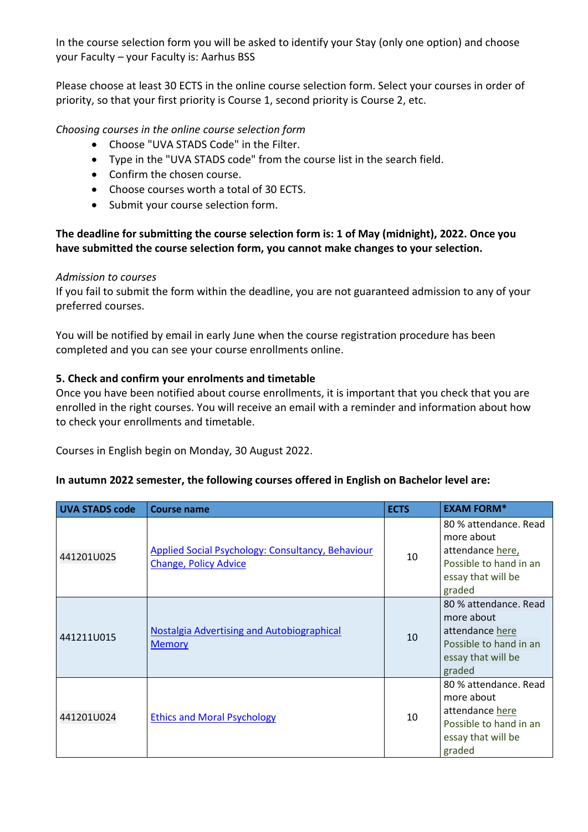In the course selection form you will be asked to identify your Stay (only one option) and choose your Faculty – your Faculty is: Aarhus BSS

Please choose at least 30 ECTS in the online course selection form. Select your courses in order of priority, so that your first priority is Course 1, second priority is Course 2, etc.

## *Choosing courses in the online course selection form*

- Choose "UVA STADS Code" in the Filter.
- Type in the "UVA STADS code" from the course list in the search field.
- Confirm the chosen course.
- Choose courses worth a total of 30 ECTS.
- Submit your course selection form.

## **The deadline for submitting the course selection form is: 1 of May (midnight), 2022. Once you have submitted the course selection form, you cannot make changes to your selection.**

### *Admission to courses*

If you fail to submit the form within the deadline, you are not guaranteed admission to any of your preferred courses.

You will be notified by email in early June when the course registration procedure has been completed and you can see your course enrollments online.

### **5. Check and confirm your enrolments and timetable**

Once you have been notified about course enrollments, it is important that you check that you are enrolled in the right courses. You will receive an email with a reminder and information about how to check your enrollments and timetable.

Courses in English begin on Monday, 30 August 2022.

### **In autumn 2022 semester, the following courses offered in English on Bachelor level are:**

| <b>UVA STADS code</b> | <b>Course name</b>                                                                       | <b>ECTS</b> | <b>EXAM FORM*</b>                                                                                                 |  |  |
|-----------------------|------------------------------------------------------------------------------------------|-------------|-------------------------------------------------------------------------------------------------------------------|--|--|
| 441201U025            | <b>Applied Social Psychology: Consultancy, Behaviour</b><br><b>Change, Policy Advice</b> | 10          | 80 % attendance. Read<br>more about<br>attendance here,<br>Possible to hand in an<br>essay that will be<br>graded |  |  |
| 441211U015            | <b>Nostalgia Advertising and Autobiographical</b><br><b>Memory</b>                       | 10          | 80 % attendance. Read<br>more about<br>attendance here<br>Possible to hand in an<br>essay that will be<br>graded  |  |  |
| 441201U024            | <b>Ethics and Moral Psychology</b>                                                       | 10          | 80 % attendance. Read<br>more about<br>attendance here<br>Possible to hand in an<br>essay that will be<br>graded  |  |  |